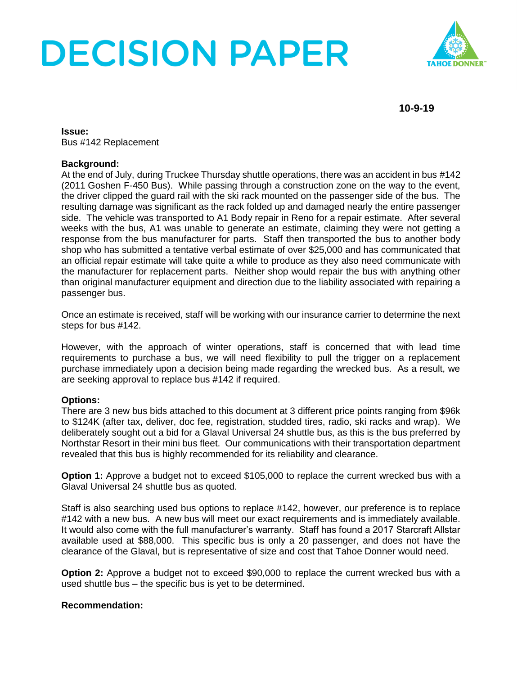# **DECISION PAPER**



**10-9-19**

**Issue:** Bus #142 Replacement

### **Background:**

At the end of July, during Truckee Thursday shuttle operations, there was an accident in bus #142 (2011 Goshen F-450 Bus). While passing through a construction zone on the way to the event, the driver clipped the guard rail with the ski rack mounted on the passenger side of the bus. The resulting damage was significant as the rack folded up and damaged nearly the entire passenger side. The vehicle was transported to A1 Body repair in Reno for a repair estimate. After several weeks with the bus, A1 was unable to generate an estimate, claiming they were not getting a response from the bus manufacturer for parts. Staff then transported the bus to another body shop who has submitted a tentative verbal estimate of over \$25,000 and has communicated that an official repair estimate will take quite a while to produce as they also need communicate with the manufacturer for replacement parts. Neither shop would repair the bus with anything other than original manufacturer equipment and direction due to the liability associated with repairing a passenger bus.

Once an estimate is received, staff will be working with our insurance carrier to determine the next steps for bus #142.

However, with the approach of winter operations, staff is concerned that with lead time requirements to purchase a bus, we will need flexibility to pull the trigger on a replacement purchase immediately upon a decision being made regarding the wrecked bus. As a result, we are seeking approval to replace bus #142 if required.

### **Options:**

There are 3 new bus bids attached to this document at 3 different price points ranging from \$96k to \$124K (after tax, deliver, doc fee, registration, studded tires, radio, ski racks and wrap). We deliberately sought out a bid for a Glaval Universal 24 shuttle bus, as this is the bus preferred by Northstar Resort in their mini bus fleet. Our communications with their transportation department revealed that this bus is highly recommended for its reliability and clearance.

**Option 1:** Approve a budget not to exceed \$105,000 to replace the current wrecked bus with a Glaval Universal 24 shuttle bus as quoted.

Staff is also searching used bus options to replace #142, however, our preference is to replace #142 with a new bus. A new bus will meet our exact requirements and is immediately available. It would also come with the full manufacturer's warranty. Staff has found a 2017 Starcraft Allstar available used at \$88,000. This specific bus is only a 20 passenger, and does not have the clearance of the Glaval, but is representative of size and cost that Tahoe Donner would need.

**Option 2:** Approve a budget not to exceed \$90,000 to replace the current wrecked bus with a used shuttle bus – the specific bus is yet to be determined.

### **Recommendation:**